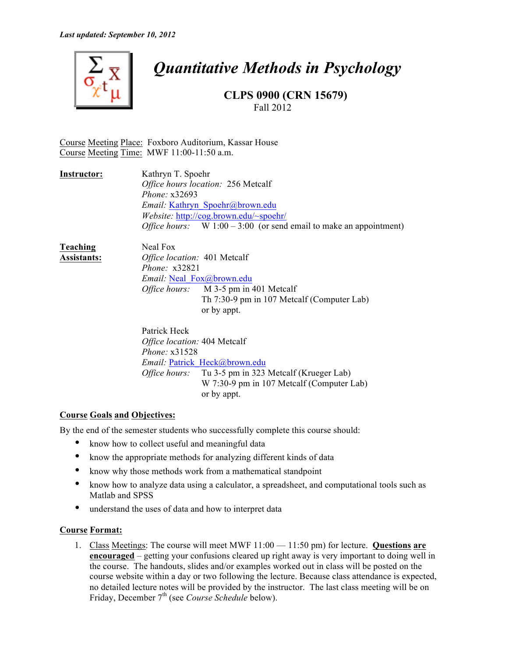

# *Quantitative Methods in Psychology*

**CLPS 0900 (CRN 15679)** Fall 2012

Course Meeting Place: Foxboro Auditorium, Kassar House Course Meeting Time: MWF 11:00-11:50 a.m.

| Instructor: | Kathryn T. Spoehr                                                         |
|-------------|---------------------------------------------------------------------------|
|             | Office hours location: 256 Metcalf                                        |
|             | Phone: $x32693$                                                           |
|             | <i>Email:</i> Kathryn Spoehr@brown.edu                                    |
|             | Website: http://cog.brown.edu/~spoehr/                                    |
|             | <i>Office hours:</i> W $1:00-3:00$ (or send email to make an appointment) |
|             |                                                                           |

| Teaching           | Neal Fox                         |                                              |  |
|--------------------|----------------------------------|----------------------------------------------|--|
| <b>Assistants:</b> | Office location: 401 Metcalf     |                                              |  |
|                    | Phone: $x32821$                  |                                              |  |
|                    | <i>Email:</i> Neal Fox@brown.edu |                                              |  |
|                    |                                  | <i>Office hours:</i> M 3-5 pm in 401 Metcalf |  |
|                    |                                  | Th 7:30-9 pm in 107 Metcalf (Computer Lab)   |  |
|                    |                                  | or by appt.                                  |  |
|                    |                                  |                                              |  |
|                    |                                  |                                              |  |

Patrick Heck *Office location:* 404 Metcalf *Phone:* x31528 *Email:* Patrick\_Heck@brown.edu *Office hours:* Tu 3-5 pm in 323 Metcalf (Krueger Lab) W 7:30-9 pm in 107 Metcalf (Computer Lab) or by appt.

## **Course Goals and Objectives:**

By the end of the semester students who successfully complete this course should:

- know how to collect useful and meaningful data
- know the appropriate methods for analyzing different kinds of data
- know why those methods work from a mathematical standpoint
- know how to analyze data using a calculator, a spreadsheet, and computational tools such as Matlab and SPSS
- understand the uses of data and how to interpret data

## **Course Format:**

1. Class Meetings: The course will meet MWF 11:00 — 11:50 pm) for lecture. **Questions are encouraged** – getting your confusions cleared up right away is very important to doing well in the course. The handouts, slides and/or examples worked out in class will be posted on the course website within a day or two following the lecture. Because class attendance is expected, no detailed lecture notes will be provided by the instructor. The last class meeting will be on Friday, December 7th (see *Course Schedule* below).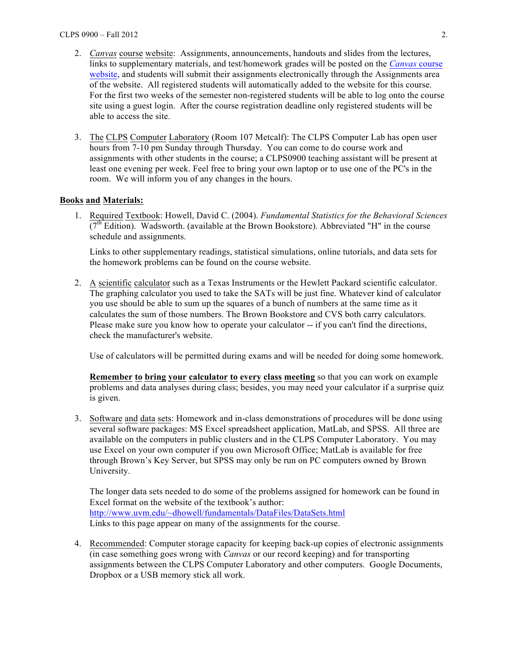- 2. *Canvas* course website: Assignments, announcements, handouts and slides from the lectures, links to supplementary materials, and test/homework grades will be posted on the *Canvas* course website, and students will submit their assignments electronically through the Assignments area of the website. All registered students will automatically added to the website for this course. For the first two weeks of the semester non-registered students will be able to log onto the course site using a guest login. After the course registration deadline only registered students will be able to access the site.
- 3. The CLPS Computer Laboratory (Room 107 Metcalf): The CLPS Computer Lab has open user hours from 7-10 pm Sunday through Thursday. You can come to do course work and assignments with other students in the course; a CLPS0900 teaching assistant will be present at least one evening per week. Feel free to bring your own laptop or to use one of the PC's in the room. We will inform you of any changes in the hours.

## **Books and Materials:**

1. Required Textbook: Howell, David C. (2004). *Fundamental Statistics for the Behavioral Sciences*  $(7<sup>th</sup> Edition)$ . Wadsworth. (available at the Brown Bookstore). Abbreviated "H" in the course schedule and assignments.

Links to other supplementary readings, statistical simulations, online tutorials, and data sets for the homework problems can be found on the course website.

2. A scientific calculator such as a Texas Instruments or the Hewlett Packard scientific calculator. The graphing calculator you used to take the SATs will be just fine. Whatever kind of calculator you use should be able to sum up the squares of a bunch of numbers at the same time as it calculates the sum of those numbers. The Brown Bookstore and CVS both carry calculators. Please make sure you know how to operate your calculator -- if you can't find the directions, check the manufacturer's website.

Use of calculators will be permitted during exams and will be needed for doing some homework.

**Remember to bring your calculator to every class meeting** so that you can work on example problems and data analyses during class; besides, you may need your calculator if a surprise quiz is given.

3. Software and data sets: Homework and in-class demonstrations of procedures will be done using several software packages: MS Excel spreadsheet application, MatLab, and SPSS. All three are available on the computers in public clusters and in the CLPS Computer Laboratory. You may use Excel on your own computer if you own Microsoft Office; MatLab is available for free through Brown's Key Server, but SPSS may only be run on PC computers owned by Brown University.

The longer data sets needed to do some of the problems assigned for homework can be found in Excel format on the website of the textbook's author: http://www.uvm.edu/~dhowell/fundamentals/DataFiles/DataSets.html Links to this page appear on many of the assignments for the course.

4. Recommended: Computer storage capacity for keeping back-up copies of electronic assignments (in case something goes wrong with *Canvas* or our record keeping) and for transporting assignments between the CLPS Computer Laboratory and other computers. Google Documents, Dropbox or a USB memory stick all work.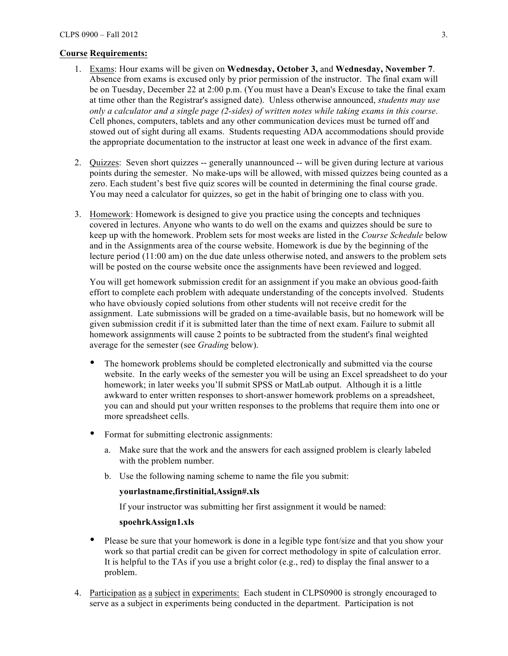#### **Course Requirements:**

- 1. Exams: Hour exams will be given on **Wednesday, October 3,** and **Wednesday, November 7**. Absence from exams is excused only by prior permission of the instructor. The final exam will be on Tuesday, December 22 at 2:00 p.m. (You must have a Dean's Excuse to take the final exam at time other than the Registrar's assigned date). Unless otherwise announced, *students may use only a calculator and a single page (2-sides) of written notes while taking exams in this course*. Cell phones, computers, tablets and any other communication devices must be turned off and stowed out of sight during all exams. Students requesting ADA accommodations should provide the appropriate documentation to the instructor at least one week in advance of the first exam.
- 2. Quizzes: Seven short quizzes -- generally unannounced -- will be given during lecture at various points during the semester. No make-ups will be allowed, with missed quizzes being counted as a zero. Each student's best five quiz scores will be counted in determining the final course grade. You may need a calculator for quizzes, so get in the habit of bringing one to class with you.
- 3. Homework: Homework is designed to give you practice using the concepts and techniques covered in lectures. Anyone who wants to do well on the exams and quizzes should be sure to keep up with the homework. Problem sets for most weeks are listed in the *Course Schedule* below and in the Assignments area of the course website. Homework is due by the beginning of the lecture period (11:00 am) on the due date unless otherwise noted, and answers to the problem sets will be posted on the course website once the assignments have been reviewed and logged.

You will get homework submission credit for an assignment if you make an obvious good-faith effort to complete each problem with adequate understanding of the concepts involved. Students who have obviously copied solutions from other students will not receive credit for the assignment. Late submissions will be graded on a time-available basis, but no homework will be given submission credit if it is submitted later than the time of next exam. Failure to submit all homework assignments will cause 2 points to be subtracted from the student's final weighted average for the semester (see *Grading* below).

- The homework problems should be completed electronically and submitted via the course website. In the early weeks of the semester you will be using an Excel spreadsheet to do your homework; in later weeks you'll submit SPSS or MatLab output. Although it is a little awkward to enter written responses to short-answer homework problems on a spreadsheet, you can and should put your written responses to the problems that require them into one or more spreadsheet cells.
- Format for submitting electronic assignments:
	- a. Make sure that the work and the answers for each assigned problem is clearly labeled with the problem number.
	- b. Use the following naming scheme to name the file you submit:

## **yourlastname,firstinitial,Assign#.xls**

If your instructor was submitting her first assignment it would be named:

#### **spoehrkAssign1.xls**

- Please be sure that your homework is done in a legible type font/size and that you show your work so that partial credit can be given for correct methodology in spite of calculation error. It is helpful to the TAs if you use a bright color (e.g., red) to display the final answer to a problem.
- 4. Participation as a subject in experiments: Each student in CLPS0900 is strongly encouraged to serve as a subject in experiments being conducted in the department. Participation is not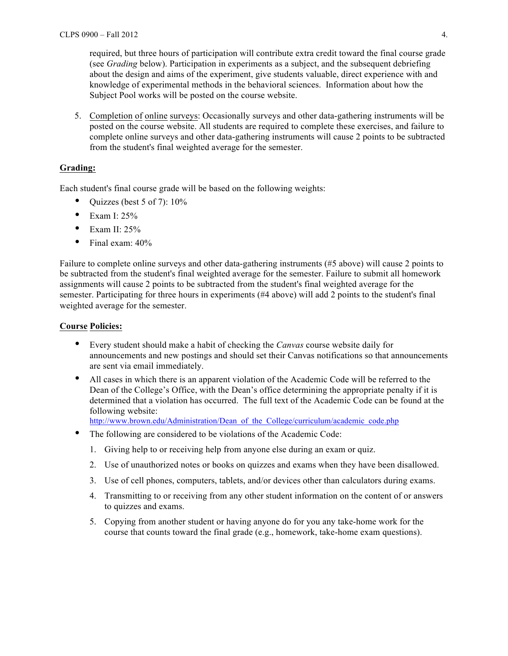required, but three hours of participation will contribute extra credit toward the final course grade (see *Grading* below). Participation in experiments as a subject, and the subsequent debriefing about the design and aims of the experiment, give students valuable, direct experience with and knowledge of experimental methods in the behavioral sciences. Information about how the Subject Pool works will be posted on the course website.

5. Completion of online surveys: Occasionally surveys and other data-gathering instruments will be posted on the course website. All students are required to complete these exercises, and failure to complete online surveys and other data-gathering instruments will cause 2 points to be subtracted from the student's final weighted average for the semester.

## **Grading:**

Each student's final course grade will be based on the following weights:

- Quizzes (best 5 of 7):  $10\%$
- Exam I:  $25%$
- Exam II:  $25%$
- Final exam:  $40\%$

Failure to complete online surveys and other data-gathering instruments (#5 above) will cause 2 points to be subtracted from the student's final weighted average for the semester. Failure to submit all homework assignments will cause 2 points to be subtracted from the student's final weighted average for the semester. Participating for three hours in experiments (#4 above) will add 2 points to the student's final weighted average for the semester.

#### **Course Policies:**

- Every student should make a habit of checking the *Canvas* course website daily for announcements and new postings and should set their Canvas notifications so that announcements are sent via email immediately.
- All cases in which there is an apparent violation of the Academic Code will be referred to the Dean of the College's Office, with the Dean's office determining the appropriate penalty if it is determined that a violation has occurred. The full text of the Academic Code can be found at the following website:

http://www.brown.edu/Administration/Dean\_of\_the\_College/curriculum/academic\_code.php

- The following are considered to be violations of the Academic Code:
	- 1. Giving help to or receiving help from anyone else during an exam or quiz.
	- 2. Use of unauthorized notes or books on quizzes and exams when they have been disallowed.
	- 3. Use of cell phones, computers, tablets, and/or devices other than calculators during exams.
	- 4. Transmitting to or receiving from any other student information on the content of or answers to quizzes and exams.
	- 5. Copying from another student or having anyone do for you any take-home work for the course that counts toward the final grade (e.g., homework, take-home exam questions).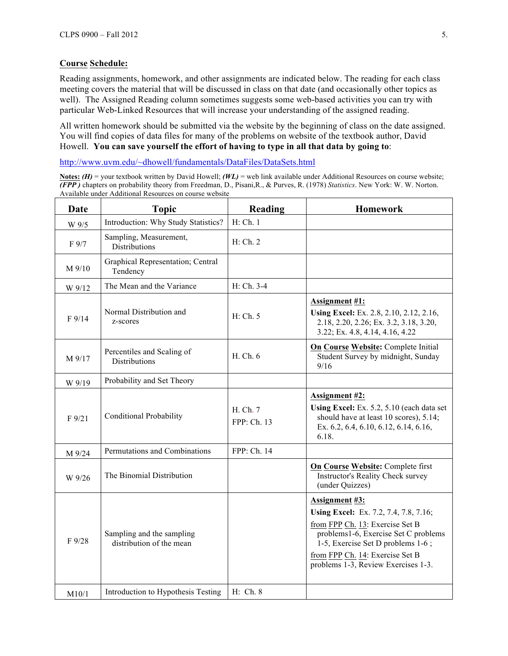## **Course Schedule:**

Reading assignments, homework, and other assignments are indicated below. The reading for each class meeting covers the material that will be discussed in class on that date (and occasionally other topics as well). The Assigned Reading column sometimes suggests some web-based activities you can try with particular Web-Linked Resources that will increase your understanding of the assigned reading.

All written homework should be submitted via the website by the beginning of class on the date assigned. You will find copies of data files for many of the problems on website of the textbook author, David Howell. **You can save yourself the effort of having to type in all that data by going to**:

http://www.uvm.edu/~dhowell/fundamentals/DataFiles/DataSets.html

**Notes:** *(H)* = your textbook written by David Howell; *(WL)* = web link available under Additional Resources on course website; *(FPP )* chapters on probability theory from Freedman, D., Pisani,R., & Purves, R. (1978) *Statistics*. New York: W. W. Norton. Available under Additional Resources on course website

| Date      | <b>Topic</b>                                          | <b>Reading</b>          | <b>Homework</b>                                                                                                                                                                                                                                          |
|-----------|-------------------------------------------------------|-------------------------|----------------------------------------------------------------------------------------------------------------------------------------------------------------------------------------------------------------------------------------------------------|
| W 9/5     | Introduction: Why Study Statistics?                   | H: Ch. 1                |                                                                                                                                                                                                                                                          |
| F 9/7     | Sampling, Measurement,<br><b>Distributions</b>        | H: Ch. 2                |                                                                                                                                                                                                                                                          |
| M 9/10    | Graphical Representation; Central<br>Tendency         |                         |                                                                                                                                                                                                                                                          |
| W 9/12    | The Mean and the Variance                             | H: Ch. 3-4              |                                                                                                                                                                                                                                                          |
| F9/14     | Normal Distribution and<br>z-scores                   | H: Ch. 5                | <b>Assignment #1:</b><br>Using Excel: Ex. 2.8, 2.10, 2.12, 2.16,<br>2.18, 2.20, 2.26; Ex. 3.2, 3.18, 3.20,<br>3.22; Ex. 4.8, 4.14, 4.16, 4.22                                                                                                            |
| M 9/17    | Percentiles and Scaling of<br><b>Distributions</b>    | H. Ch. 6                | On Course Website: Complete Initial<br>Student Survey by midnight, Sunday<br>9/16                                                                                                                                                                        |
| W 9/19    | Probability and Set Theory                            |                         |                                                                                                                                                                                                                                                          |
| $F\,9/21$ | <b>Conditional Probability</b>                        | H. Ch. 7<br>FPP: Ch. 13 | <b>Assignment #2:</b><br>Using Excel: Ex. 5.2, 5.10 (each data set<br>should have at least 10 scores), 5.14;<br>Ex. 6.2, 6.4, 6.10, 6.12, 6.14, 6.16,<br>6.18.                                                                                           |
| M 9/24    | Permutations and Combinations                         | FPP: Ch. 14             |                                                                                                                                                                                                                                                          |
| W 9/26    | The Binomial Distribution                             |                         | On Course Website: Complete first<br>Instructor's Reality Check survey<br>(under Quizzes)                                                                                                                                                                |
| F 9/28    | Sampling and the sampling<br>distribution of the mean |                         | <b>Assignment #3:</b><br>Using Excel: Ex. 7.2, 7.4, 7.8, 7.16;<br>from FPP Ch. 13: Exercise Set B<br>problems1-6, Exercise Set C problems<br>1-5, Exercise Set D problems 1-6;<br>from FPP Ch. 14: Exercise Set B<br>problems 1-3, Review Exercises 1-3. |
| M10/1     | Introduction to Hypothesis Testing                    | H: Ch. 8                |                                                                                                                                                                                                                                                          |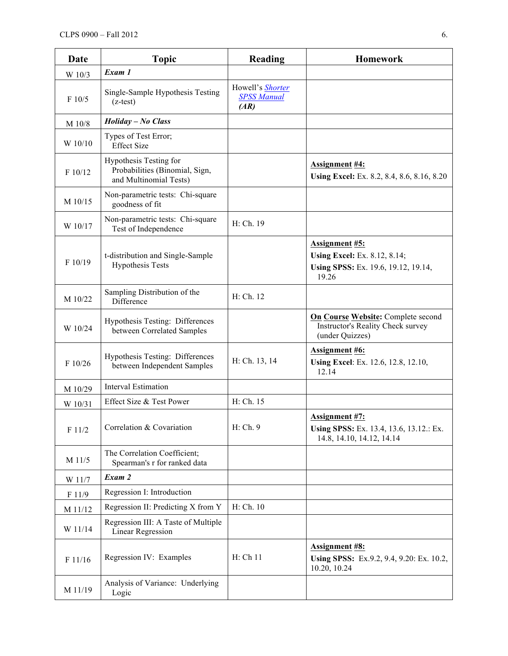| Date    | <b>Topic</b>                                                                       | Reading                                        | <b>Homework</b>                                                                                              |
|---------|------------------------------------------------------------------------------------|------------------------------------------------|--------------------------------------------------------------------------------------------------------------|
| W 10/3  | Exam 1                                                                             |                                                |                                                                                                              |
| F 10/5  | Single-Sample Hypothesis Testing<br>$(z-test)$                                     | Howell's Shorter<br><b>SPSS Manual</b><br>(AR) |                                                                                                              |
| M 10/8  | <b>Holiday - No Class</b>                                                          |                                                |                                                                                                              |
| W 10/10 | Types of Test Error;<br><b>Effect Size</b>                                         |                                                |                                                                                                              |
| F 10/12 | Hypothesis Testing for<br>Probabilities (Binomial, Sign,<br>and Multinomial Tests) |                                                | <b>Assignment #4:</b><br>Using Excel: Ex. 8.2, 8.4, 8.6, 8.16, 8.20                                          |
| M 10/15 | Non-parametric tests: Chi-square<br>goodness of fit                                |                                                |                                                                                                              |
| W 10/17 | Non-parametric tests: Chi-square<br>Test of Independence                           | H: Ch. 19                                      |                                                                                                              |
| F 10/19 | t-distribution and Single-Sample<br><b>Hypothesis Tests</b>                        |                                                | <b>Assignment #5:</b><br><b>Using Excel:</b> Ex. 8.12, 8.14;<br>Using SPSS: Ex. 19.6, 19.12, 19.14,<br>19.26 |
| M 10/22 | Sampling Distribution of the<br>Difference                                         | H: Ch. 12                                      |                                                                                                              |
| W 10/24 | Hypothesis Testing: Differences<br>between Correlated Samples                      |                                                | On Course Website: Complete second<br><b>Instructor's Reality Check survey</b><br>(under Quizzes)            |
| F 10/26 | Hypothesis Testing: Differences<br>between Independent Samples                     | H: Ch. 13, 14                                  | <b>Assignment #6:</b><br>Using Excel: Ex. 12.6, 12.8, 12.10,<br>12.14                                        |
| M 10/29 | <b>Interval Estimation</b>                                                         |                                                |                                                                                                              |
| W 10/31 | Effect Size & Test Power                                                           | H: Ch. 15                                      |                                                                                                              |
| F 11/2  | Correlation & Covariation                                                          | H: Ch. 9                                       | <b>Assignment #7:</b><br>Using SPSS: Ex. 13.4, 13.6, 13.12.: Ex.<br>14.8, 14.10, 14.12, 14.14                |
| M 11/5  | The Correlation Coefficient;<br>Spearman's r for ranked data                       |                                                |                                                                                                              |
| W 11/7  | Exam 2                                                                             |                                                |                                                                                                              |
| F 11/9  | Regression I: Introduction                                                         |                                                |                                                                                                              |
| M 11/12 | Regression II: Predicting X from Y                                                 | H: Ch. 10                                      |                                                                                                              |
| W 11/14 | Regression III: A Taste of Multiple<br><b>Linear Regression</b>                    |                                                |                                                                                                              |
| F 11/16 | Regression IV: Examples                                                            | H: Ch 11                                       | <b>Assignment #8:</b><br>Using SPSS: Ex.9.2, 9.4, 9.20: Ex. 10.2,<br>10.20, 10.24                            |
| M 11/19 | Analysis of Variance: Underlying<br>Logic                                          |                                                |                                                                                                              |